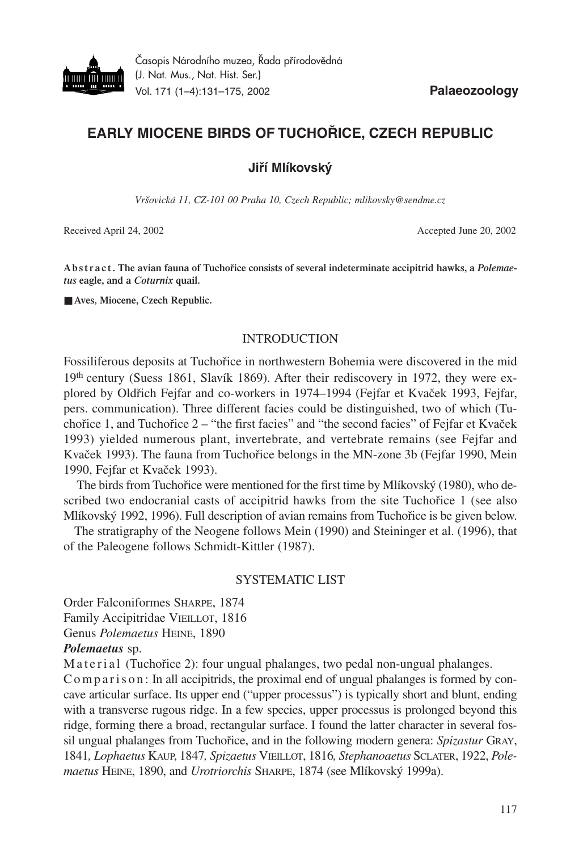

# **EARLY MIOCENE BIRDS OF TUCHOŘICE, CZECH REPUBLIC**

**Jiří Mlíkovský**

*Vršovická 11, CZ-101 00 Praha 10, Czech Republic; mlikovsky@sendme.cz*

Received April 24, 2002 **Accepted June 20, 2002** Accepted June 20, 2002

A b str a ct. The avian fauna of Tuchořice consists of several indeterminate accipitrid hawks, a *Polemaetus* **eagle, and a** *Coturnix* **quail.**

■ Aves, Miocene, Czech Republic.

## INTRODUCTION

Fossiliferous deposits at Tuchořice in northwestern Bohemia were discovered in the mid 19th century (Suess 1861, Slavík 1869). After their rediscovery in 1972, they were explored by Oldřich Fejfar and co-workers in 1974–1994 (Fejfar et Kvaček 1993, Fejfar, pers. communication). Three different facies could be distinguished, two of which (Tuchořice 1, and Tuchořice  $2 -$  "the first facies" and "the second facies" of Fejfar et Kvaček 1993) yielded numerous plant, invertebrate, and vertebrate remains (see Fejfar and Kvaček 1993). The fauna from Tuchořice belongs in the MN-zone 3b (Fejfar 1990, Mein 1990, Fejfar et Kvaček 1993).

The birds from Tuchořice were mentioned for the first time by Mlíkovský (1980), who described two endocranial casts of accipitrid hawks from the site Tuchořice 1 (see also Mlíkovský 1992, 1996). Full description of avian remains from Tuchořice is be given below.

The stratigraphy of the Neogene follows Mein (1990) and Steininger et al. (1996), that of the Paleogene follows Schmidt-Kittler (1987).

## SYSTEMATIC LIST

Order Falconiformes SHARPE, 1874 Family Accipitridae VIEILLOT, 1816 Genus *Polemaetus* HEINE, 1890

*Polemaetus* sp.

M a t e r i a l (Tuchořice 2): four ungual phalanges, two pedal non-ungual phalanges.

C o m p a r i s o n : In all accipitrids, the proximal end of ungual phalanges is formed by concave articular surface. Its upper end ("upper processus") is typically short and blunt, ending with a transverse rugous ridge. In a few species, upper processus is prolonged beyond this ridge, forming there a broad, rectangular surface. I found the latter character in several fossil ungual phalanges from Tuchořice, and in the following modern genera: *Spizastur* GRAY, 1841*, Lophaetus* KAUP, 1847*, Spizaetus* VIEILLOT, 1816*, Stephanoaetus* SCLATER, 1922, *Polemaetus* HEINE, 1890, and *Urotriorchis* SHARPE, 1874 (see Mlíkovský 1999a).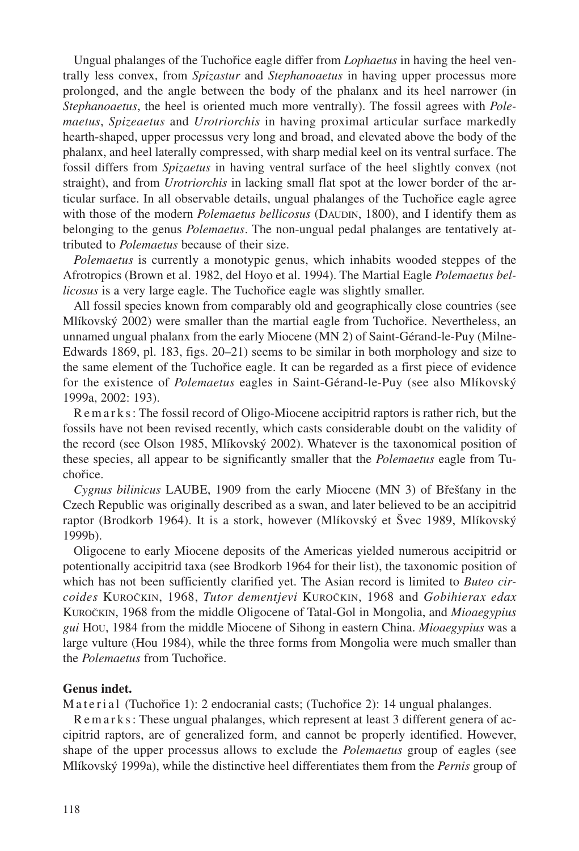Ungual phalanges of the Tuchořice eagle differ from *Lophaetus* in having the heel ventrally less convex, from *Spizastur* and *Stephanoaetus* in having upper processus more prolonged, and the angle between the body of the phalanx and its heel narrower (in *Stephanoaetus*, the heel is oriented much more ventrally). The fossil agrees with *Polemaetus*, *Spizeaetus* and *Urotriorchis* in having proximal articular surface markedly hearth-shaped, upper processus very long and broad, and elevated above the body of the phalanx, and heel laterally compressed, with sharp medial keel on its ventral surface. The fossil differs from *Spizaetus* in having ventral surface of the heel slightly convex (not straight), and from *Urotriorchis* in lacking small flat spot at the lower border of the articular surface. In all observable details, ungual phalanges of the Tuchořice eagle agree with those of the modern *Polemaetus bellicosus* (DAUDIN, 1800), and I identify them as belonging to the genus *Polemaetus*. The non-ungual pedal phalanges are tentatively attributed to *Polemaetus* because of their size.

*Polemaetus* is currently a monotypic genus, which inhabits wooded steppes of the Afrotropics (Brown et al. 1982, del Hoyo et al. 1994). The Martial Eagle *Polemaetus bellicosus* is a very large eagle. The Tuchořice eagle was slightly smaller.

All fossil species known from comparably old and geographically close countries (see Mlíkovský 2002) were smaller than the martial eagle from Tuchořice. Nevertheless, an unnamed ungual phalanx from the early Miocene (MN 2) of Saint-Gérand-le-Puy (Milne-Edwards 1869, pl. 183, figs. 20–21) seems to be similar in both morphology and size to the same element of the Tuchořice eagle. It can be regarded as a first piece of evidence for the existence of *Polemaetus* eagles in Saint-Gérand-le-Puy (see also Mlíkovský 1999a, 2002: 193).

Re m a r k s : The fossil record of Oligo-Miocene accipitrid raptors is rather rich, but the fossils have not been revised recently, which casts considerable doubt on the validity of the record (see Olson 1985, Mlíkovský 2002). Whatever is the taxonomical position of these species, all appear to be significantly smaller that the *Polemaetus* eagle from Tuchořice.

*Cygnus bilinicus* LAUBE, 1909 from the early Miocene (MN 3) of Břešťany in the Czech Republic was originally described as a swan, and later believed to be an accipitrid raptor (Brodkorb 1964). It is a stork, however (Mlíkovský et Švec 1989, Mlíkovský 1999b).

Oligocene to early Miocene deposits of the Americas yielded numerous accipitrid or potentionally accipitrid taxa (see Brodkorb 1964 for their list), the taxonomic position of which has not been sufficiently clarified yet. The Asian record is limited to *Buteo circoides* KUROČKIN, 1968, *Tutor dementjevi* KUROČKIN, 1968 and *Gobihierax edax* KUROČKIN, 1968 from the middle Oligocene of Tatal-Gol in Mongolia, and *Mioaegypius gui* HOU, 1984 from the middle Miocene of Sihong in eastern China. *Mioaegypius* was a large vulture (Hou 1984), while the three forms from Mongolia were much smaller than the *Polemaetus* from Tuchořice.

### **Genus indet.**

M a t e r i a l (Tuchořice 1): 2 endocranial casts; (Tuchořice 2): 14 ungual phalanges.

Remarks: These ungual phalanges, which represent at least 3 different genera of accipitrid raptors, are of generalized form, and cannot be properly identified. However, shape of the upper processus allows to exclude the *Polemaetus* group of eagles (see Mlíkovský 1999a), while the distinctive heel differentiates them from the *Pernis* group of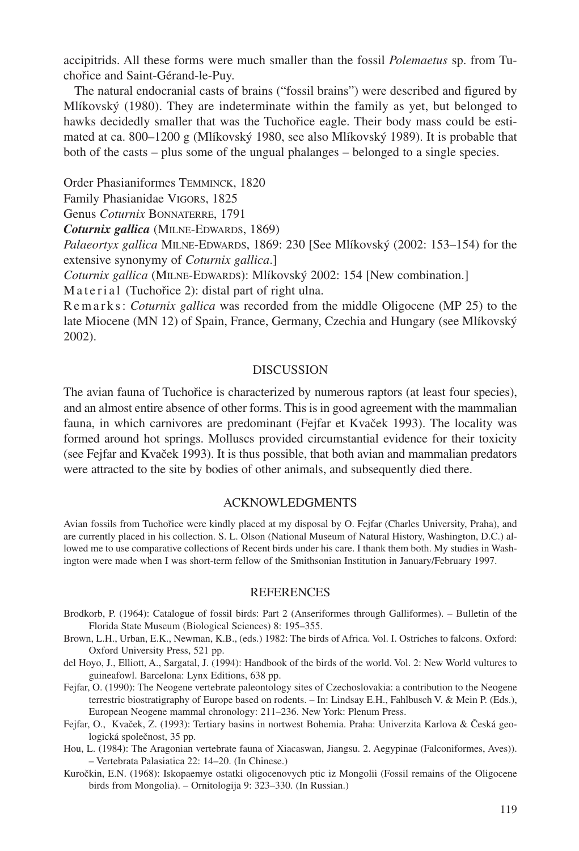accipitrids. All these forms were much smaller than the fossil *Polemaetus* sp. from Tuchořice and Saint-Gérand-le-Puy.

The natural endocranial casts of brains ("fossil brains") were described and figured by Mlíkovský (1980). They are indeterminate within the family as yet, but belonged to hawks decidedly smaller that was the Tuchořice eagle. Their body mass could be estimated at ca. 800–1200 g (Mlíkovský 1980, see also Mlíkovský 1989). It is probable that both of the casts – plus some of the ungual phalanges – belonged to a single species.

Order Phasianiformes TEMMINCK, 1820

Family Phasianidae VIGORS, 1825

Genus *Coturnix* BONNATERRE, 1791

*Coturnix gallica* (MILNE-EDWARDS, 1869)

*Palaeortyx gallica* MILNE-EDWARDS, 1869: 230 [See Mlíkovský (2002: 153–154) for the extensive synonymy of *Coturnix gallica*.]

*Coturnix gallica* (MILNE-EDWARDS): Mlíkovský 2002: 154 [New combination.]

Material (Tuchořice 2): distal part of right ulna.

R e m a r k s : *Coturnix gallica* was recorded from the middle Oligocene (MP 25) to the late Miocene (MN 12) of Spain, France, Germany, Czechia and Hungary (see Mlíkovský 2002).

#### DISCUSSION

The avian fauna of Tuchořice is characterized by numerous raptors (at least four species), and an almost entire absence of other forms. This is in good agreement with the mammalian fauna, in which carnivores are predominant (Fejfar et Kvaček 1993). The locality was formed around hot springs. Molluscs provided circumstantial evidence for their toxicity (see Fejfar and Kvaček 1993). It is thus possible, that both avian and mammalian predators were attracted to the site by bodies of other animals, and subsequently died there.

#### ACKNOWLEDGMENTS

Avian fossils from Tuchořice were kindly placed at my disposal by O. Fejfar (Charles University, Praha), and are currently placed in his collection. S. L. Olson (National Museum of Natural History, Washington, D.C.) allowed me to use comparative collections of Recent birds under his care. I thank them both. My studies in Washington were made when I was short-term fellow of the Smithsonian Institution in January/February 1997.

#### **REFERENCES**

- Brodkorb, P. (1964): Catalogue of fossil birds: Part 2 (Anseriformes through Galliformes). Bulletin of the Florida State Museum (Biological Sciences) 8: 195–355.
- Brown, L.H., Urban, E.K., Newman, K.B., (eds.) 1982: The birds of Africa. Vol. I. Ostriches to falcons. Oxford: Oxford University Press, 521 pp.
- del Hoyo, J., Elliott, A., Sargatal, J. (1994): Handbook of the birds of the world. Vol. 2: New World vultures to guineafowl. Barcelona: Lynx Editions, 638 pp.
- Fejfar, O. (1990): The Neogene vertebrate paleontology sites of Czechoslovakia: a contribution to the Neogene terrestric biostratigraphy of Europe based on rodents. – In: Lindsay E.H., Fahlbusch V. & Mein P. (Eds.), European Neogene mammal chronology: 211–236. New York: Plenum Press.
- Fejfar, O., Kvaček, Z. (1993): Tertiary basins in nortwest Bohemia. Praha: Univerzita Karlova & Česká geologická společnost, 35 pp.
- Hou, L. (1984): The Aragonian vertebrate fauna of Xiacaswan, Jiangsu. 2. Aegypinae (Falconiformes, Aves)). – Vertebrata Palasiatica 22: 14–20. (In Chinese.)
- Kuročkin, E.N. (1968): Iskopaemye ostatki oligocenovych ptic iz Mongolii (Fossil remains of the Oligocene birds from Mongolia). – Ornitologija 9: 323–330. (In Russian.)